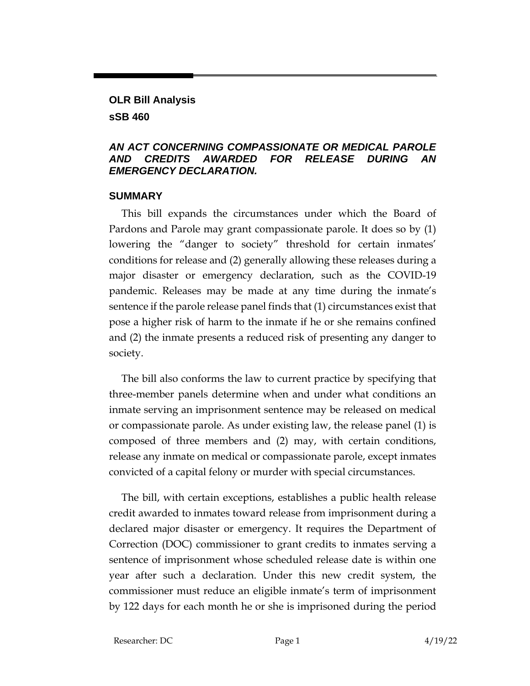# **OLR Bill Analysis**

## **sSB 460**

## *AN ACT CONCERNING COMPASSIONATE OR MEDICAL PAROLE AND CREDITS AWARDED FOR RELEASE DURING AN EMERGENCY DECLARATION.*

## **SUMMARY**

This bill expands the circumstances under which the Board of Pardons and Parole may grant compassionate parole. It does so by (1) lowering the "danger to society" threshold for certain inmates' conditions for release and (2) generally allowing these releases during a major disaster or emergency declaration, such as the COVID-19 pandemic. Releases may be made at any time during the inmate's sentence if the parole release panel finds that (1) circumstances exist that pose a higher risk of harm to the inmate if he or she remains confined and (2) the inmate presents a reduced risk of presenting any danger to society.

The bill also conforms the law to current practice by specifying that three-member panels determine when and under what conditions an inmate serving an imprisonment sentence may be released on medical or compassionate parole. As under existing law, the release panel (1) is composed of three members and (2) may, with certain conditions, release any inmate on medical or compassionate parole, except inmates convicted of a capital felony or murder with special circumstances.

The bill, with certain exceptions, establishes a public health release credit awarded to inmates toward release from imprisonment during a declared major disaster or emergency. It requires the Department of Correction (DOC) commissioner to grant credits to inmates serving a sentence of imprisonment whose scheduled release date is within one year after such a declaration. Under this new credit system, the commissioner must reduce an eligible inmate's term of imprisonment by 122 days for each month he or she is imprisoned during the period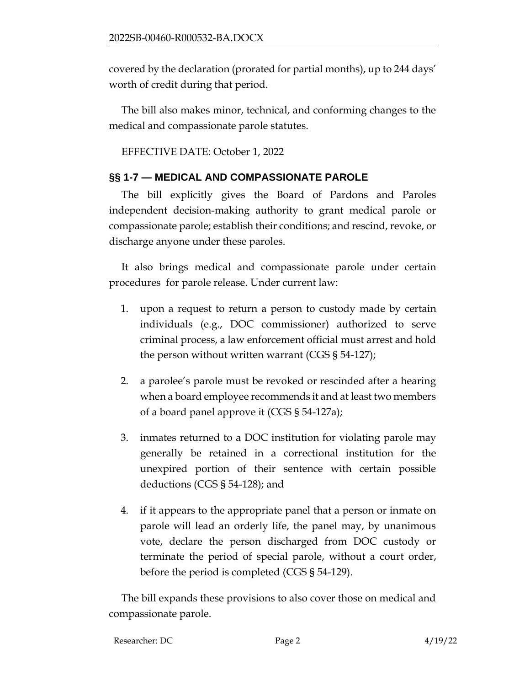covered by the declaration (prorated for partial months), up to 244 days' worth of credit during that period.

The bill also makes minor, technical, and conforming changes to the medical and compassionate parole statutes.

EFFECTIVE DATE: October 1, 2022

# **§§ 1-7 — MEDICAL AND COMPASSIONATE PAROLE**

The bill explicitly gives the Board of Pardons and Paroles independent decision-making authority to grant medical parole or compassionate parole; establish their conditions; and rescind, revoke, or discharge anyone under these paroles.

It also brings medical and compassionate parole under certain procedures for parole release. Under current law:

- 1. upon a request to return a person to custody made by certain individuals (e.g., DOC commissioner) authorized to serve criminal process, a law enforcement official must arrest and hold the person without written warrant (CGS § 54-127);
- 2. a parolee's parole must be revoked or rescinded after a hearing when a board employee recommends it and at least two members of a board panel approve it (CGS § 54-127a);
- 3. inmates returned to a DOC institution for violating parole may generally be retained in a correctional institution for the unexpired portion of their sentence with certain possible deductions (CGS § 54-128); and
- 4. if it appears to the appropriate panel that a person or inmate on parole will lead an orderly life, the panel may, by unanimous vote, declare the person discharged from DOC custody or terminate the period of special parole, without a court order, before the period is completed (CGS § 54-129).

The bill expands these provisions to also cover those on medical and compassionate parole.

| Researcher: DC | Page 2 | 4/19/22 |
|----------------|--------|---------|
|                |        |         |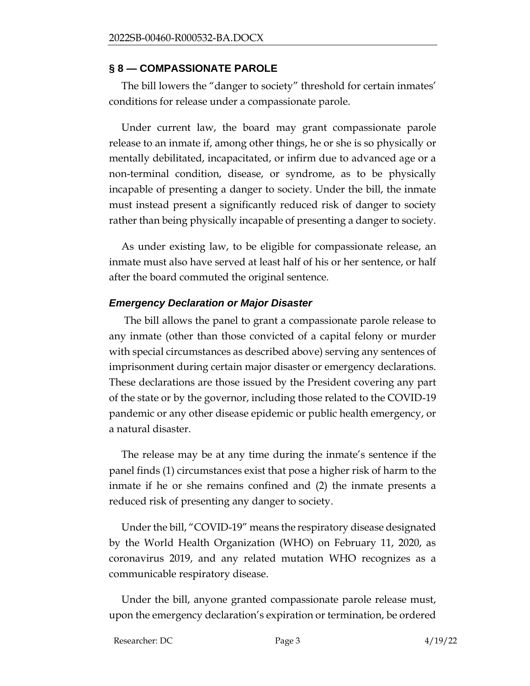#### **§ 8 — COMPASSIONATE PAROLE**

The bill lowers the "danger to society" threshold for certain inmates' conditions for release under a compassionate parole.

Under current law, the board may grant compassionate parole release to an inmate if, among other things, he or she is so physically or mentally debilitated, incapacitated, or infirm due to advanced age or a non-terminal condition, disease, or syndrome, as to be physically incapable of presenting a danger to society. Under the bill, the inmate must instead present a significantly reduced risk of danger to society rather than being physically incapable of presenting a danger to society.

As under existing law, to be eligible for compassionate release, an inmate must also have served at least half of his or her sentence, or half after the board commuted the original sentence.

#### *Emergency Declaration or Major Disaster*

The bill allows the panel to grant a compassionate parole release to any inmate (other than those convicted of a capital felony or murder with special circumstances as described above) serving any sentences of imprisonment during certain major disaster or emergency declarations. These declarations are those issued by the President covering any part of the state or by the governor, including those related to the COVID-19 pandemic or any other disease epidemic or public health emergency, or a natural disaster.

The release may be at any time during the inmate's sentence if the panel finds (1) circumstances exist that pose a higher risk of harm to the inmate if he or she remains confined and (2) the inmate presents a reduced risk of presenting any danger to society.

Under the bill, "COVID-19" means the respiratory disease designated by the World Health Organization (WHO) on February 11, 2020, as coronavirus 2019, and any related mutation WHO recognizes as a communicable respiratory disease.

Under the bill, anyone granted compassionate parole release must, upon the emergency declaration's expiration or termination, be ordered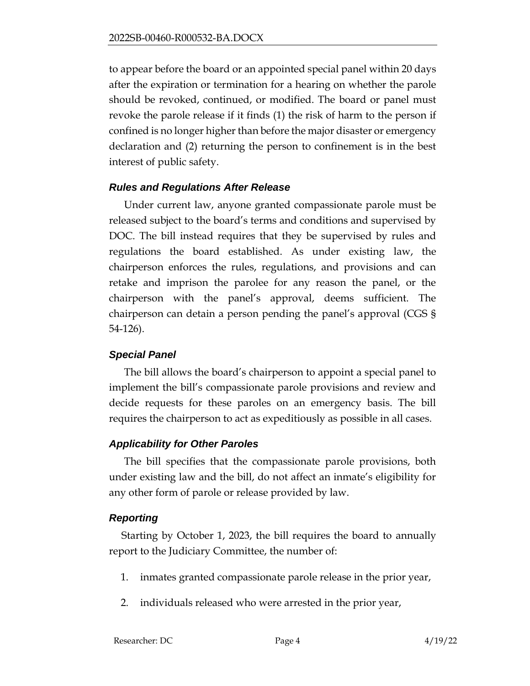to appear before the board or an appointed special panel within 20 days after the expiration or termination for a hearing on whether the parole should be revoked, continued, or modified. The board or panel must revoke the parole release if it finds (1) the risk of harm to the person if confined is no longer higher than before the major disaster or emergency declaration and (2) returning the person to confinement is in the best interest of public safety.

## *Rules and Regulations After Release*

Under current law, anyone granted compassionate parole must be released subject to the board's terms and conditions and supervised by DOC. The bill instead requires that they be supervised by rules and regulations the board established. As under existing law, the chairperson enforces the rules, regulations, and provisions and can retake and imprison the parolee for any reason the panel, or the chairperson with the panel's approval, deems sufficient. The chairperson can detain a person pending the panel's approval (CGS § 54-126).

# *Special Panel*

The bill allows the board's chairperson to appoint a special panel to implement the bill's compassionate parole provisions and review and decide requests for these paroles on an emergency basis. The bill requires the chairperson to act as expeditiously as possible in all cases.

# *Applicability for Other Paroles*

The bill specifies that the compassionate parole provisions, both under existing law and the bill, do not affect an inmate's eligibility for any other form of parole or release provided by law.

# *Reporting*

Starting by October 1, 2023, the bill requires the board to annually report to the Judiciary Committee, the number of:

- 1. inmates granted compassionate parole release in the prior year,
- 2. individuals released who were arrested in the prior year,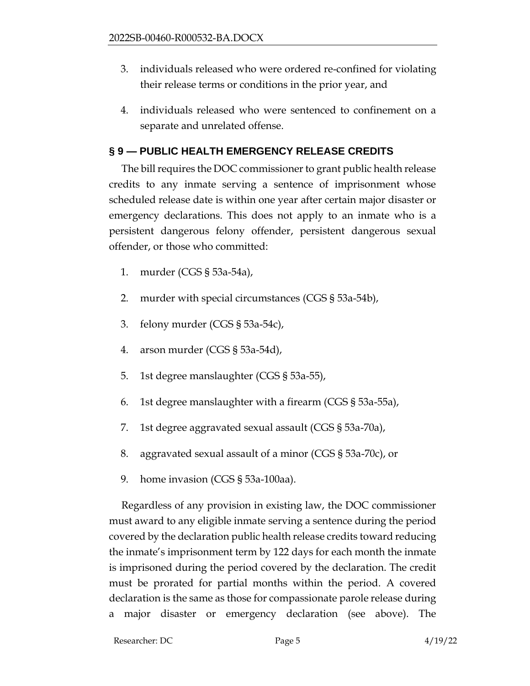- 3. individuals released who were ordered re-confined for violating their release terms or conditions in the prior year, and
- 4. individuals released who were sentenced to confinement on a separate and unrelated offense.

# **§ 9 — PUBLIC HEALTH EMERGENCY RELEASE CREDITS**

The bill requires the DOC commissioner to grant public health release credits to any inmate serving a sentence of imprisonment whose scheduled release date is within one year after certain major disaster or emergency declarations. This does not apply to an inmate who is a persistent dangerous felony offender, persistent dangerous sexual offender, or those who committed:

- 1. murder (CGS § 53a-54a),
- 2. murder with special circumstances (CGS § 53a-54b),
- 3. felony murder (CGS § 53a-54c),
- 4. arson murder (CGS § 53a-54d),
- 5. 1st degree manslaughter (CGS § 53a-55),
- 6. 1st degree manslaughter with a firearm (CGS § 53a-55a),
- 7. 1st degree aggravated sexual assault (CGS § 53a-70a),
- 8. aggravated sexual assault of a minor (CGS § 53a-70c), or
- 9. home invasion (CGS § 53a-100aa).

Regardless of any provision in existing law, the DOC commissioner must award to any eligible inmate serving a sentence during the period covered by the declaration public health release credits toward reducing the inmate's imprisonment term by 122 days for each month the inmate is imprisoned during the period covered by the declaration. The credit must be prorated for partial months within the period. A covered declaration is the same as those for compassionate parole release during a major disaster or emergency declaration (see above). The